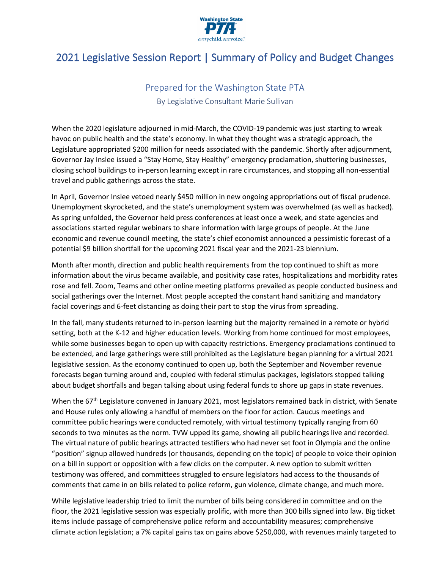

# 2021 Legislative Session Report | Summary of Policy and Budget Changes

## Prepared for the Washington State PTA By Legislative Consultant Marie Sullivan

When the 2020 legislature adjourned in mid-March, the COVID-19 pandemic was just starting to wreak havoc on public health and the state's economy. In what they thought was a strategic approach, the Legislature appropriated \$200 million for needs associated with the pandemic. Shortly after adjournment, Governor Jay Inslee issued a "Stay Home, Stay Healthy" emergency proclamation, shuttering businesses, closing school buildings to in-person learning except in rare circumstances, and stopping all non-essential travel and public gatherings across the state.

In April, Governor Inslee vetoed nearly \$450 million in new ongoing appropriations out of fiscal prudence. Unemployment skyrocketed, and the state's unemployment system was overwhelmed (as well as hacked). As spring unfolded, the Governor held press conferences at least once a week, and state agencies and associations started regular webinars to share information with large groups of people. At the June economic and revenue council meeting, the state's chief economist announced a pessimistic forecast of a potential \$9 billion shortfall for the upcoming 2021 fiscal year and the 2021-23 biennium.

Month after month, direction and public health requirements from the top continued to shift as more information about the virus became available, and positivity case rates, hospitalizations and morbidity rates rose and fell. Zoom, Teams and other online meeting platforms prevailed as people conducted business and social gatherings over the Internet. Most people accepted the constant hand sanitizing and mandatory facial coverings and 6-feet distancing as doing their part to stop the virus from spreading.

In the fall, many students returned to in-person learning but the majority remained in a remote or hybrid setting, both at the K-12 and higher education levels. Working from home continued for most employees, while some businesses began to open up with capacity restrictions. Emergency proclamations continued to be extended, and large gatherings were still prohibited as the Legislature began planning for a virtual 2021 legislative session. As the economy continued to open up, both the September and November revenue forecasts began turning around and, coupled with federal stimulus packages, legislators stopped talking about budget shortfalls and began talking about using federal funds to shore up gaps in state revenues.

When the 67<sup>th</sup> Legislature convened in January 2021, most legislators remained back in district, with Senate and House rules only allowing a handful of members on the floor for action. Caucus meetings and committee public hearings were conducted remotely, with virtual testimony typically ranging from 60 seconds to two minutes as the norm. TVW upped its game, showing all public hearings live and recorded. The virtual nature of public hearings attracted testifiers who had never set foot in Olympia and the online "position" signup allowed hundreds (or thousands, depending on the topic) of people to voice their opinion on a bill in support or opposition with a few clicks on the computer. A new option to submit written testimony was offered, and committees struggled to ensure legislators had access to the thousands of comments that came in on bills related to police reform, gun violence, climate change, and much more.

While legislative leadership tried to limit the number of bills being considered in committee and on the floor, the 2021 legislative session was especially prolific, with more than 300 bills signed into law. Big ticket items include passage of comprehensive police reform and accountability measures; comprehensive climate action legislation; a 7% capital gains tax on gains above \$250,000, with revenues mainly targeted to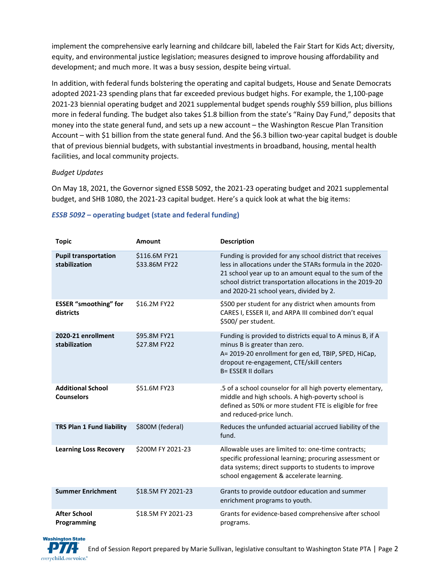implement the comprehensive early learning and childcare bill, labeled the Fair Start for Kids Act; diversity, equity, and environmental justice legislation; measures designed to improve housing affordability and development; and much more. It was a busy session, despite being virtual.

In addition, with federal funds bolstering the operating and capital budgets, House and Senate Democrats adopted 2021-23 spending plans that far exceeded previous budget highs. For example, the 1,100-page 2021-23 biennial operating budget and 2021 supplemental budget spends roughly \$59 billion, plus billions more in federal funding. The budget also takes \$1.8 billion from the state's "Rainy Day Fund," deposits that money into the state general fund, and sets up a new account – the Washington Rescue Plan Transition Account – with \$1 billion from the state general fund. And the \$6.3 billion two-year capital budget is double that of previous biennial budgets, with substantial investments in broadband, housing, mental health facilities, and local community projects.

#### *Budget Updates*

On May 18, 2021, the Governor signed ESSB 5092, the 2021-23 operating budget and 2021 supplemental budget, and SHB 1080, the 2021-23 capital budget. Here's a quick look at what the big items:

| <b>Topic</b>                                  | <b>Amount</b>                  | <b>Description</b>                                                                                                                                                                                                                                                                      |
|-----------------------------------------------|--------------------------------|-----------------------------------------------------------------------------------------------------------------------------------------------------------------------------------------------------------------------------------------------------------------------------------------|
| <b>Pupil transportation</b><br>stabilization  | \$116.6M FY21<br>\$33.86M FY22 | Funding is provided for any school district that receives<br>less in allocations under the STARs formula in the 2020-<br>21 school year up to an amount equal to the sum of the<br>school district transportation allocations in the 2019-20<br>and 2020-21 school years, divided by 2. |
| <b>ESSER</b> "smoothing" for<br>districts     | \$16.2M FY22                   | \$500 per student for any district when amounts from<br>CARES I, ESSER II, and ARPA III combined don't equal<br>\$500/ per student.                                                                                                                                                     |
| 2020-21 enrollment<br>stabilization           | \$95.8M FY21<br>\$27.8M FY22   | Funding is provided to districts equal to A minus B, if A<br>minus B is greater than zero.<br>A= 2019-20 enrollment for gen ed, TBIP, SPED, HiCap,<br>dropout re-engagement, CTE/skill centers<br>B= ESSER II dollars                                                                   |
| <b>Additional School</b><br><b>Counselors</b> | \$51.6M FY23                   | .5 of a school counselor for all high poverty elementary,<br>middle and high schools. A high-poverty school is<br>defined as 50% or more student FTE is eligible for free<br>and reduced-price lunch.                                                                                   |
| <b>TRS Plan 1 Fund liability</b>              | \$800M (federal)               | Reduces the unfunded actuarial accrued liability of the<br>fund.                                                                                                                                                                                                                        |
| <b>Learning Loss Recovery</b>                 | \$200M FY 2021-23              | Allowable uses are limited to: one-time contracts;<br>specific professional learning; procuring assessment or<br>data systems; direct supports to students to improve<br>school engagement & accelerate learning.                                                                       |
| <b>Summer Enrichment</b>                      | \$18.5M FY 2021-23             | Grants to provide outdoor education and summer<br>enrichment programs to youth.                                                                                                                                                                                                         |
| <b>After School</b><br>Programming            | \$18.5M FY 2021-23             | Grants for evidence-based comprehensive after school<br>programs.                                                                                                                                                                                                                       |

#### *[ESSB 5092](http://lawfilesext.leg.wa.gov/biennium/2021-22/Pdf/Bills/Session%20Laws/Senate/5092-S.SL.pdf?q=20210602113729)* **– operating budget (state and federal funding)**

**Washington State** everychild.onevoice.<sup>®</sup>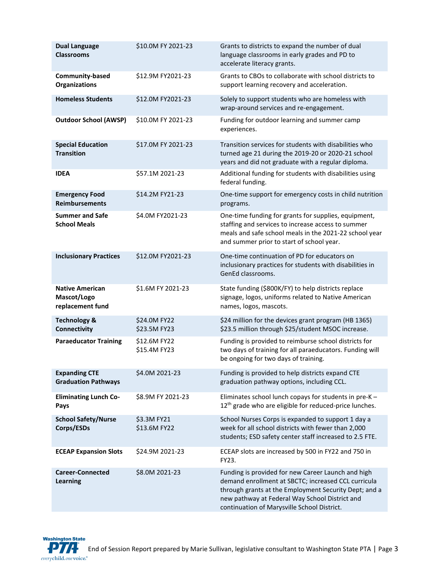| <b>Dual Language</b><br><b>Classrooms</b>                 | \$10.0M FY 2021-23           | Grants to districts to expand the number of dual<br>language classrooms in early grades and PD to<br>accelerate literacy grants.                                                                                                                                    |
|-----------------------------------------------------------|------------------------------|---------------------------------------------------------------------------------------------------------------------------------------------------------------------------------------------------------------------------------------------------------------------|
| Community-based<br><b>Organizations</b>                   | \$12.9M FY2021-23            | Grants to CBOs to collaborate with school districts to<br>support learning recovery and acceleration.                                                                                                                                                               |
| <b>Homeless Students</b>                                  | \$12.0M FY2021-23            | Solely to support students who are homeless with<br>wrap-around services and re-engagement.                                                                                                                                                                         |
| <b>Outdoor School (AWSP)</b>                              | \$10.0M FY 2021-23           | Funding for outdoor learning and summer camp<br>experiences.                                                                                                                                                                                                        |
| <b>Special Education</b><br><b>Transition</b>             | \$17.0M FY 2021-23           | Transition services for students with disabilities who<br>turned age 21 during the 2019-20 or 2020-21 school<br>years and did not graduate with a regular diploma.                                                                                                  |
| <b>IDEA</b>                                               | \$57.1M 2021-23              | Additional funding for students with disabilities using<br>federal funding.                                                                                                                                                                                         |
| <b>Emergency Food</b><br><b>Reimbursements</b>            | \$14.2M FY21-23              | One-time support for emergency costs in child nutrition<br>programs.                                                                                                                                                                                                |
| <b>Summer and Safe</b><br><b>School Meals</b>             | \$4.0M FY2021-23             | One-time funding for grants for supplies, equipment,<br>staffing and services to increase access to summer<br>meals and safe school meals in the 2021-22 school year<br>and summer prior to start of school year.                                                   |
| <b>Inclusionary Practices</b>                             | \$12.0M FY2021-23            | One-time continuation of PD for educators on<br>inclusionary practices for students with disabilities in<br>GenEd classrooms.                                                                                                                                       |
| <b>Native American</b><br>Mascot/Logo<br>replacement fund | \$1.6M FY 2021-23            | State funding (\$800K/FY) to help districts replace<br>signage, logos, uniforms related to Native American<br>names, logos, mascots.                                                                                                                                |
| <b>Technology &amp;</b><br>Connectivity                   | \$24.0M FY22<br>\$23.5M FY23 | \$24 million for the devices grant program (HB 1365)<br>\$23.5 million through \$25/student MSOC increase.                                                                                                                                                          |
| <b>Paraeducator Training</b>                              | \$12.6M FY22<br>\$15.4M FY23 | Funding is provided to reimburse school districts for<br>two days of training for all paraeducators. Funding will<br>be ongoing for two days of training.                                                                                                           |
| <b>Expanding CTE</b><br><b>Graduation Pathways</b>        | \$4.0M 2021-23               | Funding is provided to help districts expand CTE<br>graduation pathway options, including CCL.                                                                                                                                                                      |
| <b>Eliminating Lunch Co-</b><br>Pays                      | \$8.9M FY 2021-23            | Eliminates school lunch copays for students in pre-K -<br>12 <sup>th</sup> grade who are eligible for reduced-price lunches.                                                                                                                                        |
| <b>School Safety/Nurse</b><br>Corps/ESDs                  | \$3.3M FY21<br>\$13.6M FY22  | School Nurses Corps is expanded to support 1 day a<br>week for all school districts with fewer than 2,000<br>students; ESD safety center staff increased to 2.5 FTE.                                                                                                |
| <b>ECEAP Expansion Slots</b>                              | \$24.9M 2021-23              | ECEAP slots are increased by 500 in FY22 and 750 in<br>FY23.                                                                                                                                                                                                        |
| <b>Career-Connected</b><br><b>Learning</b>                | \$8.0M 2021-23               | Funding is provided for new Career Launch and high<br>demand enrollment at SBCTC; increased CCL curricula<br>through grants at the Employment Security Dept; and a<br>new pathway at Federal Way School District and<br>continuation of Marysville School District. |

**Washington State** PTA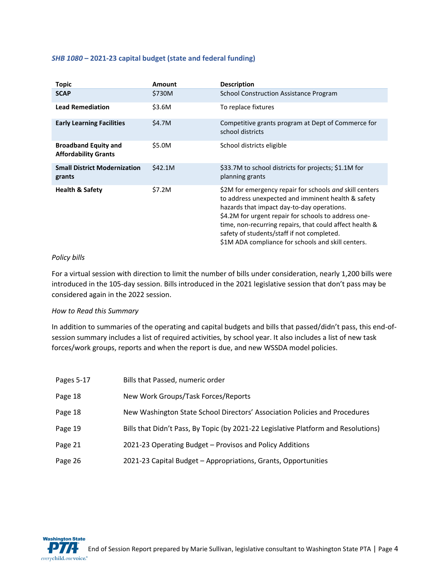#### *[SHB 1080](http://lawfilesext.leg.wa.gov/biennium/2021-22/Pdf/Bills/Session%20Laws/House/1080-S.SL.pdf)* **– 2021-23 capital budget (state and federal funding)**

| <b>Topic</b>                                               | Amount  | <b>Description</b>                                                                                                                                                                                                                                                                                                                                                                 |
|------------------------------------------------------------|---------|------------------------------------------------------------------------------------------------------------------------------------------------------------------------------------------------------------------------------------------------------------------------------------------------------------------------------------------------------------------------------------|
| <b>SCAP</b>                                                | \$730M  | School Construction Assistance Program                                                                                                                                                                                                                                                                                                                                             |
| <b>Lead Remediation</b>                                    | \$3.6M  | To replace fixtures                                                                                                                                                                                                                                                                                                                                                                |
| <b>Early Learning Facilities</b>                           | \$4.7M  | Competitive grants program at Dept of Commerce for<br>school districts                                                                                                                                                                                                                                                                                                             |
| <b>Broadband Equity and</b><br><b>Affordability Grants</b> | \$5.0M  | School districts eligible                                                                                                                                                                                                                                                                                                                                                          |
| <b>Small District Modernization</b><br>grants              | \$42.1M | \$33.7M to school districts for projects; \$1.1M for<br>planning grants                                                                                                                                                                                                                                                                                                            |
| <b>Health &amp; Safety</b>                                 | \$7.2M  | \$2M for emergency repair for schools and skill centers<br>to address unexpected and imminent health & safety<br>hazards that impact day-to-day operations.<br>\$4.2M for urgent repair for schools to address one-<br>time, non-recurring repairs, that could affect health &<br>safety of students/staff if not completed.<br>\$1M ADA compliance for schools and skill centers. |

#### *Policy bills*

**Washington State** 

everychild.onevoice.<sup>®</sup>

For a virtual session with direction to limit the number of bills under consideration, nearly 1,200 bills were introduced in the 105-day session. Bills introduced in the 2021 legislative session that don't pass may be considered again in the 2022 session.

#### *How to Read this Summary*

In addition to summaries of the operating and capital budgets and bills that passed/didn't pass, this end-ofsession summary includes a list of required activities, by school year. It also includes a list of new task forces/work groups, reports and when the report is due, and new WSSDA model policies.

| Pages 5-17 | Bills that Passed, numeric order                                                   |
|------------|------------------------------------------------------------------------------------|
| Page 18    | New Work Groups/Task Forces/Reports                                                |
| Page 18    | New Washington State School Directors' Association Policies and Procedures         |
| Page 19    | Bills that Didn't Pass, By Topic (by 2021-22 Legislative Platform and Resolutions) |
| Page 21    | 2021-23 Operating Budget – Provisos and Policy Additions                           |
| Page 26    | 2021-23 Capital Budget - Appropriations, Grants, Opportunities                     |

End of Session Report prepared by Marie Sullivan, legislative consultant to Washington State PTA | Page 4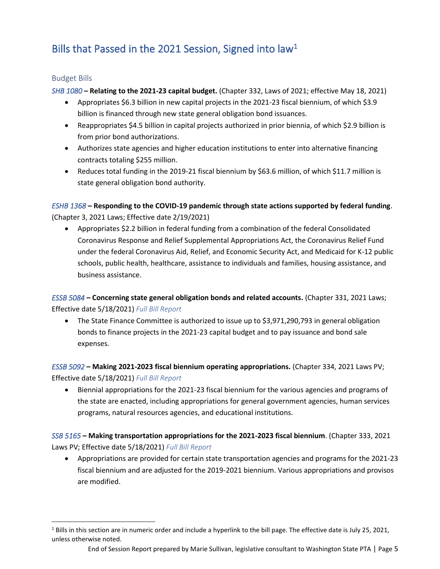# Bills that Passed in the 2021 Session, Signed into law<sup>1</sup>

#### Budget Bills

*[SHB 1080](https://app.leg.wa.gov/billsummary?BillNumber=1080&Initiative=false&Year=2021)* **– Relating to the 2021-23 capital budget.** (Chapter 332, Laws of 2021; effective May 18, 2021)

- Appropriates \$6.3 billion in new capital projects in the 2021-23 fiscal biennium, of which \$3.9 billion is financed through new state general obligation bond issuances.
- Reappropriates \$4.5 billion in capital projects authorized in prior biennia, of which \$2.9 billion is from prior bond authorizations.
- Authorizes state agencies and higher education institutions to enter into alternative financing contracts totaling \$255 million.
- Reduces total funding in the 2019-21 fiscal biennium by \$63.6 million, of which \$11.7 million is state general obligation bond authority.

*[ESHB 1368](https://app.leg.wa.gov/billsummary?BillNumber=1368&Initiative=false&Year=2021)* **– Responding to the COVID-19 pandemic through state actions supported by federal funding**. (Chapter 3, 2021 Laws; Effective date 2/19/2021)

• Appropriates \$2.2 billion in federal funding from a combination of the federal Consolidated Coronavirus Response and Relief Supplemental Appropriations Act, the Coronavirus Relief Fund under the federal Coronavirus Aid, Relief, and Economic Security Act, and Medicaid for K-12 public schools, public health, healthcare, assistance to individuals and families, housing assistance, and business assistance.

*[ESSB 5084](https://app.leg.wa.gov/billsummary?BillNumber=5084&Initiative=false&Year=2021)* **– Concerning state general obligation bonds and related accounts.** (Chapter 331, 2021 Laws; Effective date 5/18/2021) *[Full Bill Report](http://lawfilesext.leg.wa.gov/biennium/2021-22/Pdf/Bill%20Reports/Senate/5084-S.E%20SBR%20FBR%2021.pdf?q=20210524092958)*

• The State Finance Committee is authorized to issue up to \$3,971,290,793 in general obligation bonds to finance projects in the 2021-23 capital budget and to pay issuance and bond sale expenses.

*[ESSB 5092](https://app.leg.wa.gov/billsummary?BillNumber=5092&Initiative=false&Year=2021)* **– Making 2021-2023 fiscal biennium operating appropriations.** (Chapter 334, 2021 Laws PV; Effective date 5/18/2021) *[Full Bill Report](http://lawfilesext.leg.wa.gov/biennium/2021-22/Pdf/Bill%20Reports/Senate/5092-S.E%20SBR%20FBR%2021.pdf?q=20210524093316)*

• Biennial appropriations for the 2021-23 fiscal biennium for the various agencies and programs of the state are enacted, including appropriations for general government agencies, human services programs, natural resources agencies, and educational institutions.

*[SSB 5165](https://app.leg.wa.gov/billsummary?BillNumber=5165&Initiative=false&Year=2021)* **– Making transportation appropriations for the 2021-2023 fiscal biennium**. (Chapter 333, 2021 Laws PV; Effective date 5/18/2021) *[Full Bill Report](http://lawfilesext.leg.wa.gov/biennium/2021-22/Pdf/Bill%20Reports/Senate/5165-S%20SBR%20FBR%2021.pdf?q=20210524100148)*

• Appropriations are provided for certain state transportation agencies and programs for the 2021-23 fiscal biennium and are adjusted for the 2019-2021 biennium. Various appropriations and provisos are modified.

 $1$  Bills in this section are in numeric order and include a hyperlink to the bill page. The effective date is July 25, 2021, unless otherwise noted.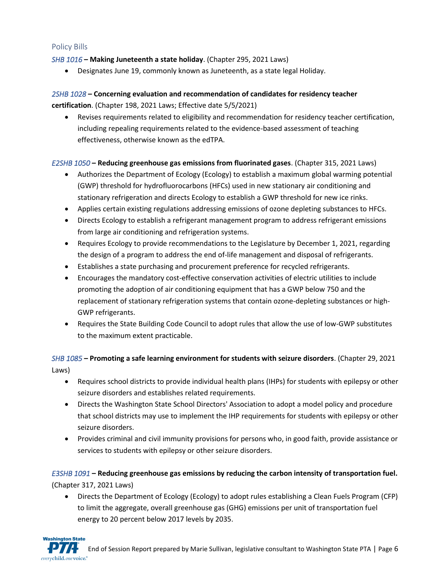#### Policy Bills

**Washington State** 

#### *[SHB 1016](http://app.leg.wa.gov/billsummary?Year=2021&BillNumber=1016)* **– Making Juneteenth a state holiday**. (Chapter 295, 2021 Laws)

• Designates June 19, commonly known as Juneteenth, as a state legal Holiday.

#### *[2SHB 1028](https://app.leg.wa.gov/billsummary?BillNumber=1028&Year=2021&Initiative=false)* **– Concerning evaluation and recommendation of candidates for residency teacher**

**certification**. (Chapter 198, 2021 Laws; Effective date 5/5/2021)

• Revises requirements related to eligibility and recommendation for residency teacher certification, including repealing requirements related to the evidence-based assessment of teaching effectiveness, otherwise known as the edTPA.

#### *[E2SHB 1050](http://app.leg.wa.gov/billsummary?Year=2021&BillNumber=1050)* **– Reducing greenhouse gas emissions from fluorinated gases**. (Chapter 315, 2021 Laws)

- Authorizes the Department of Ecology (Ecology) to establish a maximum global warming potential (GWP) threshold for hydrofluorocarbons (HFCs) used in new stationary air conditioning and stationary refrigeration and directs Ecology to establish a GWP threshold for new ice rinks.
- Applies certain existing regulations addressing emissions of ozone depleting substances to HFCs.
- Directs Ecology to establish a refrigerant management program to address refrigerant emissions from large air conditioning and refrigeration systems.
- Requires Ecology to provide recommendations to the Legislature by December 1, 2021, regarding the design of a program to address the end of-life management and disposal of refrigerants.
- Establishes a state purchasing and procurement preference for recycled refrigerants.
- Encourages the mandatory cost-effective conservation activities of electric utilities to include promoting the adoption of air conditioning equipment that has a GWP below 750 and the replacement of stationary refrigeration systems that contain ozone-depleting substances or high-GWP refrigerants.
- Requires the State Building Code Council to adopt rules that allow the use of low-GWP substitutes to the maximum extent practicable.

#### *[SHB 1085](http://app.leg.wa.gov/billsummary?Year=2021&BillNumber=1085)* **– Promoting a safe learning environment for students with seizure disorders**. (Chapter 29, 2021 Laws)

- Requires school districts to provide individual health plans (IHPs) for students with epilepsy or other seizure disorders and establishes related requirements.
- Directs the Washington State School Directors' Association to adopt a model policy and procedure that school districts may use to implement the IHP requirements for students with epilepsy or other seizure disorders.
- Provides criminal and civil immunity provisions for persons who, in good faith, provide assistance or services to students with epilepsy or other seizure disorders.

### *[E3SHB 1091](https://app.leg.wa.gov/billsummary?BillNumber=1091&Initiative=false&Year=2021)* **– Reducing greenhouse gas emissions by reducing the carbon intensity of transportation fuel.**  (Chapter 317, 2021 Laws)

• Directs the Department of Ecology (Ecology) to adopt rules establishing a Clean Fuels Program (CFP) to limit the aggregate, overall greenhouse gas (GHG) emissions per unit of transportation fuel energy to 20 percent below 2017 levels by 2035.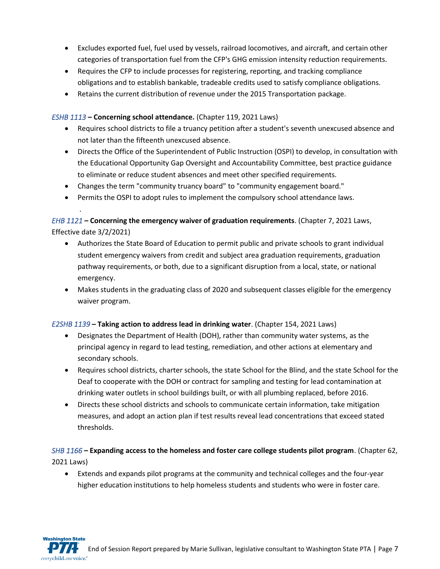- Excludes exported fuel, fuel used by vessels, railroad locomotives, and aircraft, and certain other categories of transportation fuel from the CFP's GHG emission intensity reduction requirements.
- Requires the CFP to include processes for registering, reporting, and tracking compliance obligations and to establish bankable, tradeable credits used to satisfy compliance obligations.
- Retains the current distribution of revenue under the 2015 Transportation package.

#### *[ESHB 1113](http://app.leg.wa.gov/billsummary?Year=2021&BillNumber=1113)* **– Concerning school attendance.** (Chapter 119, 2021 Laws)

.

- Requires school districts to file a truancy petition after a student's seventh unexcused absence and not later than the fifteenth unexcused absence.
- Directs the Office of the Superintendent of Public Instruction (OSPI) to develop, in consultation with the Educational Opportunity Gap Oversight and Accountability Committee, best practice guidance to eliminate or reduce student absences and meet other specified requirements.
- Changes the term "community truancy board" to "community engagement board."
- Permits the OSPI to adopt rules to implement the compulsory school attendance laws.

### *[EHB 1121](https://app.leg.wa.gov/billsummary?BillNumber=1121&Year=2021&Initiative=false)* **– Concerning the emergency waiver of graduation requirements**. (Chapter 7, 2021 Laws, Effective date 3/2/2021)

- Authorizes the State Board of Education to permit public and private schools to grant individual student emergency waivers from credit and subject area graduation requirements, graduation pathway requirements, or both, due to a significant disruption from a local, state, or national emergency.
- Makes students in the graduating class of 2020 and subsequent classes eligible for the emergency waiver program.

#### *[E2SHB 1139](https://app.leg.wa.gov/billsummary?BillNumber=1139&Initiative=false&Year=2021)* **– Taking action to address lead in drinking water**. (Chapter 154, 2021 Laws)

- Designates the Department of Health (DOH), rather than community water systems, as the principal agency in regard to lead testing, remediation, and other actions at elementary and secondary schools.
- Requires school districts, charter schools, the state School for the Blind, and the state School for the Deaf to cooperate with the DOH or contract for sampling and testing for lead contamination at drinking water outlets in school buildings built, or with all plumbing replaced, before 2016.
- Directs these school districts and schools to communicate certain information, take mitigation measures, and adopt an action plan if test results reveal lead concentrations that exceed stated thresholds.

### *[SHB 1166](https://app.leg.wa.gov/billsummary?BillNumber=1166&Initiative=false&Year=2021)* **– Expanding access to the homeless and foster care college students pilot program**. (Chapter 62, 2021 Laws)

• Extends and expands pilot programs at the community and technical colleges and the four-year higher education institutions to help homeless students and students who were in foster care.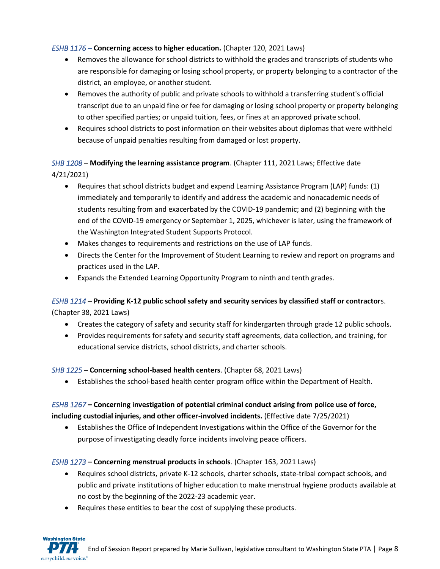#### *[ESHB 1176](https://app.leg.wa.gov/billsummary?BillNumber=1176&Initiative=false&Year=2021) –* **Concerning access to higher education.** (Chapter 120, 2021 Laws)

- Removes the allowance for school districts to withhold the grades and transcripts of students who are responsible for damaging or losing school property, or property belonging to a contractor of the district, an employee, or another student.
- Removes the authority of public and private schools to withhold a transferring student's official transcript due to an unpaid fine or fee for damaging or losing school property or property belonging to other specified parties; or unpaid tuition, fees, or fines at an approved private school.
- Requires school districts to post information on their websites about diplomas that were withheld because of unpaid penalties resulting from damaged or lost property.

### *[SHB 1208](https://app.leg.wa.gov/billsummary?BillNumber=1208&Initiative=false&Year=2021)* **– Modifying the learning assistance program**. (Chapter 111, 2021 Laws; Effective date 4/21/2021)

- Requires that school districts budget and expend Learning Assistance Program (LAP) funds: (1) immediately and temporarily to identify and address the academic and nonacademic needs of students resulting from and exacerbated by the COVID-19 pandemic; and (2) beginning with the end of the COVID-19 emergency or September 1, 2025, whichever is later, using the framework of the Washington Integrated Student Supports Protocol.
- Makes changes to requirements and restrictions on the use of LAP funds.
- Directs the Center for the Improvement of Student Learning to review and report on programs and practices used in the LAP.
- Expands the Extended Learning Opportunity Program to ninth and tenth grades.

#### *[ESHB 1214](https://app.leg.wa.gov/billsummary?BillNumber=1214&Initiative=false&Year=2021)* **– Providing K-12 public school safety and security services by classified staff or contractor**s.

(Chapter 38, 2021 Laws)

**Washington State** 

- Creates the category of safety and security staff for kindergarten through grade 12 public schools.
- Provides requirements for safety and security staff agreements, data collection, and training, for educational service districts, school districts, and charter schools.

#### *[SHB 1225](https://app.leg.wa.gov/billsummary?BillNumber=1225&Initiative=false&Year=2021)* **– Concerning school-based health centers**. (Chapter 68, 2021 Laws)

• Establishes the school-based health center program office within the Department of Health.

### *[ESHB 1267](https://app.leg.wa.gov/billsummary?BillNumber=1267&Initiative=false&Year=2021)* **– Concerning investigation of potential criminal conduct arising from police use of force, including custodial injuries, and other officer-involved incidents.** (Effective date 7/25/2021)

• Establishes the Office of Independent Investigations within the Office of the Governor for the purpose of investigating deadly force incidents involving peace officers.

#### *[ESHB 1273](https://app.leg.wa.gov/billsummary?BillNumber=1273&Initiative=false&Year=2021)* **– Concerning menstrual products in schools**. (Chapter 163, 2021 Laws)

- Requires school districts, private K-12 schools, charter schools, state-tribal compact schools, and public and private institutions of higher education to make menstrual hygiene products available at no cost by the beginning of the 2022-23 academic year.
- Requires these entities to bear the cost of supplying these products.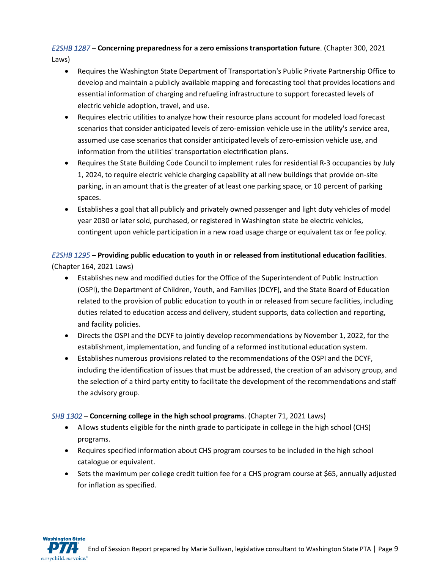# *[E2SHB 1287](https://app.leg.wa.gov/billsummary?BillNumber=1287&Initiative=false&Year=2021)* **– Concerning preparedness for a zero emissions transportation future**. (Chapter 300, 2021

Laws)

- Requires the Washington State Department of Transportation's Public Private Partnership Office to develop and maintain a publicly available mapping and forecasting tool that provides locations and essential information of charging and refueling infrastructure to support forecasted levels of electric vehicle adoption, travel, and use.
- Requires electric utilities to analyze how their resource plans account for modeled load forecast scenarios that consider anticipated levels of zero-emission vehicle use in the utility's service area, assumed use case scenarios that consider anticipated levels of zero-emission vehicle use, and information from the utilities' transportation electrification plans.
- Requires the State Building Code Council to implement rules for residential R-3 occupancies by July 1, 2024, to require electric vehicle charging capability at all new buildings that provide on-site parking, in an amount that is the greater of at least one parking space, or 10 percent of parking spaces.
- Establishes a goal that all publicly and privately owned passenger and light duty vehicles of model year 2030 or later sold, purchased, or registered in Washington state be electric vehicles, contingent upon vehicle participation in a new road usage charge or equivalent tax or fee policy.

### *[E2SHB 1295](https://app.leg.wa.gov/billsummary?BillNumber=1295&Initiative=false&Year=2021)* **– Providing public education to youth in or released from institutional education facilities**. (Chapter 164, 2021 Laws)

- Establishes new and modified duties for the Office of the Superintendent of Public Instruction (OSPI), the Department of Children, Youth, and Families (DCYF), and the State Board of Education related to the provision of public education to youth in or released from secure facilities, including duties related to education access and delivery, student supports, data collection and reporting, and facility policies.
- Directs the OSPI and the DCYF to jointly develop recommendations by November 1, 2022, for the establishment, implementation, and funding of a reformed institutional education system.
- Establishes numerous provisions related to the recommendations of the OSPI and the DCYF, including the identification of issues that must be addressed, the creation of an advisory group, and the selection of a third party entity to facilitate the development of the recommendations and staff the advisory group.

### *[SHB 1302](https://app.leg.wa.gov/billsummary?BillNumber=1302&Initiative=false&Year=2021)* **– Concerning college in the high school programs**. (Chapter 71, 2021 Laws)

- Allows students eligible for the ninth grade to participate in college in the high school (CHS) programs.
- Requires specified information about CHS program courses to be included in the high school catalogue or equivalent.
- Sets the maximum per college credit tuition fee for a CHS program course at \$65, annually adjusted for inflation as specified.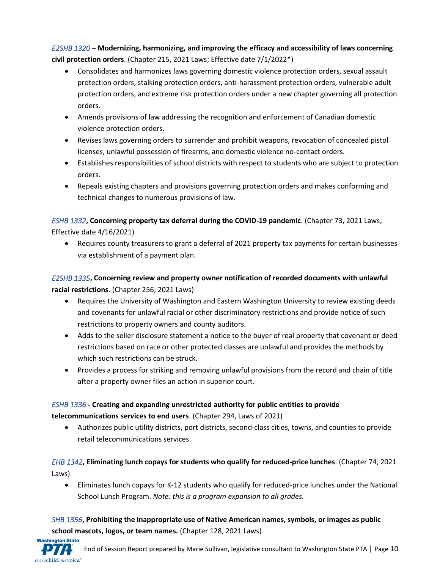*[E2SHB 1320](https://app.leg.wa.gov/billsummary?BillNumber=1320&Initiative=false&Year=2021)* **– Modernizing, harmonizing, and improving the efficacy and accessibility of laws concerning civil protection orders**. (Chapter 215, 2021 Laws; Effective date 7/1/2022\*)

- Consolidates and harmonizes laws governing domestic violence protection orders, sexual assault protection orders, stalking protection orders, anti-harassment protection orders, vulnerable adult protection orders, and extreme risk protection orders under a new chapter governing all protection orders.
- Amends provisions of law addressing the recognition and enforcement of Canadian domestic violence protection orders.
- Revises laws governing orders to surrender and prohibit weapons, revocation of concealed pistol licenses, unlawful possession of firearms, and domestic violence no-contact orders.
- Establishes responsibilities of school districts with respect to students who are subject to protection orders.
- Repeals existing chapters and provisions governing protection orders and makes conforming and technical changes to numerous provisions of law.

*[ESHB 1332](https://app.leg.wa.gov/billsummary?BillNumber=1332&Initiative=false&Year=2021)***, Concerning property tax deferral during the COVID-19 pandemic**. (Chapter 73, 2021 Laws; Effective date 4/16/2021)

• Requires county treasurers to grant a deferral of 2021 property tax payments for certain businesses via establishment of a payment plan.

*[E2SHB 1335](https://app.leg.wa.gov/billsummary?BillNumber=1335&Initiative=false&Year=2021)***, Concerning review and property owner notification of recorded documents with unlawful racial restrictions**. (Chapter 256, 2021 Laws)

- Requires the University of Washington and Eastern Washington University to review existing deeds and covenants for unlawful racial or other discriminatory restrictions and provide notice of such restrictions to property owners and county auditors.
- Adds to the seller disclosure statement a notice to the buyer of real property that covenant or deed restrictions based on race or other protected classes are unlawful and provides the methods by which such restrictions can be struck.
- Provides a process for striking and removing unlawful provisions from the record and chain of title after a property owner files an action in superior court.

### *[ESHB 1336](https://app.leg.wa.gov/billsummary?BillNumber=1336&Initiative=false&Year=2021)* **- Creating and expanding unrestricted authority for public entities to provide**

**telecommunications services to end users**. (Chapter 294, Laws of 2021)

• Authorizes public utility districts, port districts, second-class cities, towns, and counties to provide retail telecommunications services.

*[EHB 1342](https://app.leg.wa.gov/billsummary?BillNumber=1342&Initiative=false&Year=2021)***, Eliminating lunch copays for students who qualify for reduced-price lunches**. (Chapter 74, 2021 Laws)

• Eliminates lunch copays for K-12 students who qualify for reduced-price lunches under the National School Lunch Program. *Note: this is a program expansion to all grades.*

*[SHB 1356](https://app.leg.wa.gov/billsummary?BillNumber=1356&Initiative=false&Year=2021)***, Prohibiting the inappropriate use of Native American names, symbols, or images as public school mascots, logos, or team names.** (Chapter 128, 2021 Laws)

**Washington State**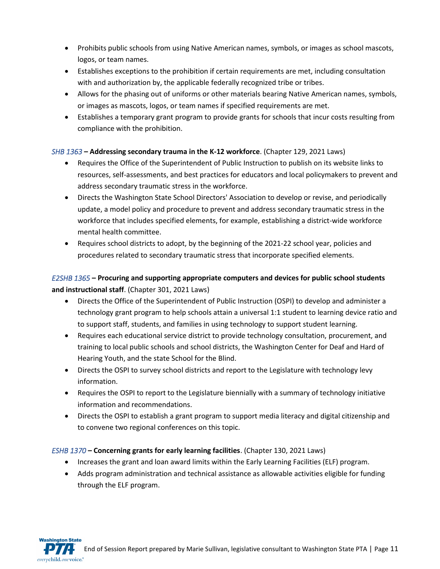- Prohibits public schools from using Native American names, symbols, or images as school mascots, logos, or team names.
- Establishes exceptions to the prohibition if certain requirements are met, including consultation with and authorization by, the applicable federally recognized tribe or tribes.
- Allows for the phasing out of uniforms or other materials bearing Native American names, symbols, or images as mascots, logos, or team names if specified requirements are met.
- Establishes a temporary grant program to provide grants for schools that incur costs resulting from compliance with the prohibition.

#### *[SHB 1363](https://app.leg.wa.gov/billsummary?BillNumber=1363&Initiative=false&Year=2021)* **– Addressing secondary trauma in the K-12 workforce**. (Chapter 129, 2021 Laws)

- Requires the Office of the Superintendent of Public Instruction to publish on its website links to resources, self-assessments, and best practices for educators and local policymakers to prevent and address secondary traumatic stress in the workforce.
- Directs the Washington State School Directors' Association to develop or revise, and periodically update, a model policy and procedure to prevent and address secondary traumatic stress in the workforce that includes specified elements, for example, establishing a district-wide workforce mental health committee.
- Requires school districts to adopt, by the beginning of the 2021-22 school year, policies and procedures related to secondary traumatic stress that incorporate specified elements.

### *[E2SHB 1365](https://app.leg.wa.gov/billsummary?BillNumber=1365&Initiative=false&Year=2021)* **– Procuring and supporting appropriate computers and devices for public school students and instructional staff**. (Chapter 301, 2021 Laws)

- Directs the Office of the Superintendent of Public Instruction (OSPI) to develop and administer a technology grant program to help schools attain a universal 1:1 student to learning device ratio and to support staff, students, and families in using technology to support student learning.
- Requires each educational service district to provide technology consultation, procurement, and training to local public schools and school districts, the Washington Center for Deaf and Hard of Hearing Youth, and the state School for the Blind.
- Directs the OSPI to survey school districts and report to the Legislature with technology levy information.
- Requires the OSPI to report to the Legislature biennially with a summary of technology initiative information and recommendations.
- Directs the OSPI to establish a grant program to support media literacy and digital citizenship and to convene two regional conferences on this topic.

#### *[ESHB 1370](https://app.leg.wa.gov/billsummary?BillNumber=1370&Initiative=false&Year=2021)* **– Concerning grants for early learning facilities**. (Chapter 130, 2021 Laws)

- Increases the grant and loan award limits within the Early Learning Facilities (ELF) program.
- Adds program administration and technical assistance as allowable activities eligible for funding through the ELF program.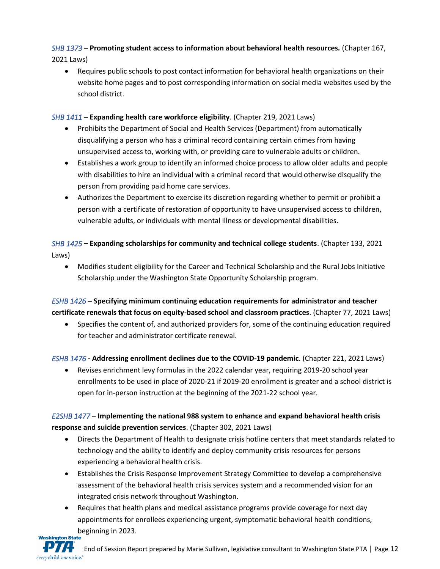# *[SHB 1373](https://app.leg.wa.gov/billsummary?BillNumber=1373&Initiative=false&Year=2021)* **– Promoting student access to information about behavioral health resources.** (Chapter 167,

2021 Laws)

• Requires public schools to post contact information for behavioral health organizations on their website home pages and to post corresponding information on social media websites used by the school district.

### *[SHB 1411](https://app.leg.wa.gov/billsummary?BillNumber=1411&Initiative=false&Year=2021)* **– Expanding health care workforce eligibility**. (Chapter 219, 2021 Laws)

- Prohibits the Department of Social and Health Services (Department) from automatically disqualifying a person who has a criminal record containing certain crimes from having unsupervised access to, working with, or providing care to vulnerable adults or children.
- Establishes a work group to identify an informed choice process to allow older adults and people with disabilities to hire an individual with a criminal record that would otherwise disqualify the person from providing paid home care services.
- Authorizes the Department to exercise its discretion regarding whether to permit or prohibit a person with a certificate of restoration of opportunity to have unsupervised access to children, vulnerable adults, or individuals with mental illness or developmental disabilities.

*[SHB 1425](https://app.leg.wa.gov/billsummary?BillNumber=1425&Initiative=false&Year=2021)* **– Expanding scholarships for community and technical college students**. (Chapter 133, 2021 Laws)

• Modifies student eligibility for the Career and Technical Scholarship and the Rural Jobs Initiative Scholarship under the Washington State Opportunity Scholarship program.

*[ESHB 1426](https://app.leg.wa.gov/billsummary?BillNumber=1426&Initiative=false&Year=2021)* **– Specifying minimum continuing education requirements for administrator and teacher certificate renewals that focus on equity-based school and classroom practices**. (Chapter 77, 2021 Laws)

• Specifies the content of, and authorized providers for, some of the continuing education required for teacher and administrator certificate renewal.

*[ESHB 1476](https://app.leg.wa.gov/billsummary?BillNumber=1476&Initiative=false&Year=2021)* **- Addressing enrollment declines due to the COVID-19 pandemic**. (Chapter 221, 2021 Laws)

• Revises enrichment levy formulas in the 2022 calendar year, requiring 2019-20 school year enrollments to be used in place of 2020-21 if 2019-20 enrollment is greater and a school district is open for in-person instruction at the beginning of the 2021-22 school year.

### *[E2SHB 1477](https://app.leg.wa.gov/billsummary?BillNumber=1477&Initiative=false&Year=2021)* **– Implementing the national 988 system to enhance and expand behavioral health crisis response and suicide prevention services**. (Chapter 302, 2021 Laws)

- Directs the Department of Health to designate crisis hotline centers that meet standards related to technology and the ability to identify and deploy community crisis resources for persons experiencing a behavioral health crisis.
- Establishes the Crisis Response Improvement Strategy Committee to develop a comprehensive assessment of the behavioral health crisis services system and a recommended vision for an integrated crisis network throughout Washington.
- Requires that health plans and medical assistance programs provide coverage for next day appointments for enrollees experiencing urgent, symptomatic behavioral health conditions, beginning in 2023.<br>Washington State

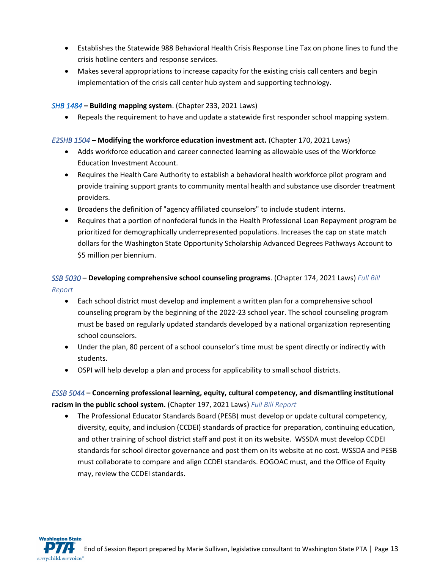- Establishes the Statewide 988 Behavioral Health Crisis Response Line Tax on phone lines to fund the crisis hotline centers and response services.
- Makes several appropriations to increase capacity for the existing crisis call centers and begin implementation of the crisis call center hub system and supporting technology.

#### *[SHB 1484](https://app.leg.wa.gov/billsummary?Year=2021&BillNumber=1484)* **– Building mapping system**. (Chapter 233, 2021 Laws)

• Repeals the requirement to have and update a statewide first responder school mapping system.

#### *[E2SHB 1504](https://app.leg.wa.gov/billsummary?BillNumber=1504&Initiative=false&Year=2021)* **– Modifying the workforce education investment act.** (Chapter 170, 2021 Laws)

- Adds workforce education and career connected learning as allowable uses of the Workforce Education Investment Account.
- Requires the Health Care Authority to establish a behavioral health workforce pilot program and provide training support grants to community mental health and substance use disorder treatment providers.
- Broadens the definition of "agency affiliated counselors" to include student interns.
- Requires that a portion of nonfederal funds in the Health Professional Loan Repayment program be prioritized for demographically underrepresented populations. Increases the cap on state match dollars for the Washington State Opportunity Scholarship Advanced Degrees Pathways Account to \$5 million per biennium.

### *[SSB 5030](https://app.leg.wa.gov/billsummary?BillNumber=5030&Initiative=false&Year=2021)* **– Developing comprehensive school counseling programs**. (Chapter 174, 2021 Laws) *[Full Bill](http://lawfilesext.leg.wa.gov/biennium/2021-22/Pdf/Bill%20Reports/Senate/5030-S%20SBR%20FBR%2021.pdf?q=20210523153725)  [Report](http://lawfilesext.leg.wa.gov/biennium/2021-22/Pdf/Bill%20Reports/Senate/5030-S%20SBR%20FBR%2021.pdf?q=20210523153725)*

- Each school district must develop and implement a written plan for a comprehensive school counseling program by the beginning of the 2022-23 school year. The school counseling program must be based on regularly updated standards developed by a national organization representing school counselors.
- Under the plan, 80 percent of a school counselor's time must be spent directly or indirectly with students.
- OSPI will help develop a plan and process for applicability to small school districts.

### *[ESSB 5044](https://app.leg.wa.gov/billsummary?BillNumber=5044&Initiative=false&Year=2021)* **– Concerning professional learning, equity, cultural competency, and dismantling institutional racism in the public school system.** (Chapter 197, 2021 Laws) *[Full Bill Report](http://lawfilesext.leg.wa.gov/biennium/2021-22/Pdf/Bill%20Reports/Senate/5044-S.E%20SBR%20FBR%2021.pdf?q=20210523155753)*

• The Professional Educator Standards Board (PESB) must develop or update cultural competency, diversity, equity, and inclusion (CCDEI) standards of practice for preparation, continuing education, and other training of school district staff and post it on its website. WSSDA must develop CCDEI standards for school director governance and post them on its website at no cost. WSSDA and PESB must collaborate to compare and align CCDEI standards. EOGOAC must, and the Office of Equity may, review the CCDEI standards.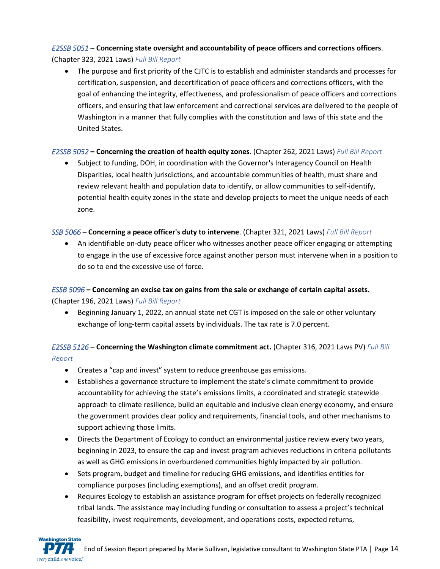### *[E2SSB 5051](https://app.leg.wa.gov/billsummary?BillNumber=5051&Initiative=false&Year=2021)* **– Concerning state oversight and accountability of peace officers and corrections officers**.

(Chapter 323, 2021 Laws) *[Full Bill Report](http://lawfilesext.leg.wa.gov/biennium/2021-22/Pdf/Bill%20Reports/Senate/5051-S2.E%20SBR%20FBR%2021.pdf?q=20210525164745)*

• The purpose and first priority of the CJTC is to establish and administer standards and processes for certification, suspension, and decertification of peace officers and corrections officers, with the goal of enhancing the integrity, effectiveness, and professionalism of peace officers and corrections officers, and ensuring that law enforcement and correctional services are delivered to the people of Washington in a manner that fully complies with the constitution and laws of this state and the United States.

### *[E2SSB 5052](https://app.leg.wa.gov/billsummary?BillNumber=5052&Initiative=false&Year=2021)* **– Concerning the creation of health equity zones**. (Chapter 262, 2021 Laws) *[Full Bill Report](http://lawfilesext.leg.wa.gov/biennium/2021-22/Pdf/Bill%20Reports/Senate/5052-S2.E%20SBR%20FBR%2021.pdf?q=20210524092245)*

• Subject to funding, DOH, in coordination with the Governor's Interagency Council on Health Disparities, local health jurisdictions, and accountable communities of health, must share and review relevant health and population data to identify, or allow communities to self-identify, potential health equity zones in the state and develop projects to meet the unique needs of each zone.

### *[SSB 5066](https://app.leg.wa.gov/billsummary?BillNumber=5066&Initiative=false&Year=2021)* **– Concerning a peace officer's duty to intervene**. (Chapter 321, 2021 Laws) *[Full Bill Report](http://lawfilesext.leg.wa.gov/biennium/2021-22/Pdf/Bill%20Reports/Senate/5066-S%20SBR%20FBR%2021.pdf?q=20210524092807)*

• An identifiable on-duty peace officer who witnesses another peace officer engaging or attempting to engage in the use of excessive force against another person must intervene when in a position to do so to end the excessive use of force.

# *[ESSB 5096](https://app.leg.wa.gov/billsummary?BillNumber=5096&Year=2021&Initiative=false)* **– Concerning an excise tax on gains from the sale or exchange of certain capital assets.**

(Chapter 196, 2021 Laws) *Full [Bill Report](http://lawfilesext.leg.wa.gov/biennium/2021-22/Pdf/Bill%20Reports/Senate/5096-S.E%20SBR%20FBR%2021.pdf?q=20210524093727)*

• Beginning January 1, 2022, an annual state net CGT is imposed on the sale or other voluntary exchange of long-term capital assets by individuals. The tax rate is 7.0 percent.

### *[E2SSB 5126](https://app.leg.wa.gov/billsummary?BillNumber=5126&Initiative=false&Year=2021)* **– Concerning the Washington climate commitment act.** (Chapter 316, 2021 Laws PV) *Full [Bill](http://lawfilesext.leg.wa.gov/biennium/2021-22/Pdf/Bill%20Reports/Senate/5126-S2.E%20SBR%20FBR%2021.pdf?q=20210524094334)  [Report](http://lawfilesext.leg.wa.gov/biennium/2021-22/Pdf/Bill%20Reports/Senate/5126-S2.E%20SBR%20FBR%2021.pdf?q=20210524094334)*

- Creates a "cap and invest" system to reduce greenhouse gas emissions.
- Establishes a governance structure to implement the state's climate commitment to provide accountability for achieving the state's emissions limits, a coordinated and strategic statewide approach to climate resilience, build an equitable and inclusive clean energy economy, and ensure the government provides clear policy and requirements, financial tools, and other mechanisms to support achieving those limits.
- Directs the Department of Ecology to conduct an environmental justice review every two years, beginning in 2023, to ensure the cap and invest program achieves reductions in criteria pollutants as well as GHG emissions in overburdened communities highly impacted by air pollution.
- Sets program, budget and timeline for reducing GHG emissions, and identifies entities for compliance purposes (including exemptions), and an offset credit program.
- Requires Ecology to establish an assistance program for offset projects on federally recognized tribal lands. The assistance may including funding or consultation to assess a project's technical feasibility, invest requirements, development, and operations costs, expected returns,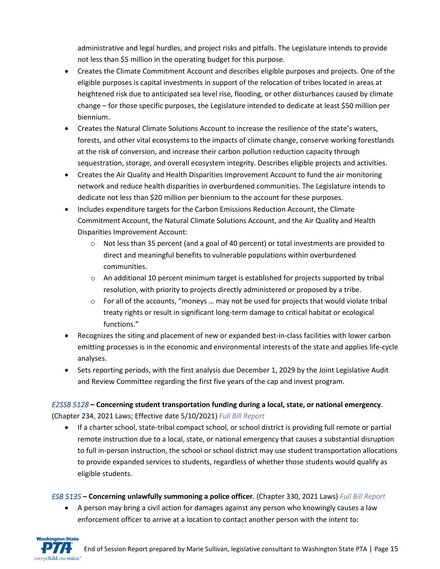administrative and legal hurdles, and project risks and pitfalls. The Legislature intends to provide not less than \$5 million in the operating budget for this purpose.

- Creates the Climate Commitment Account and describes eligible purposes and projects. One of the eligible purposes is capital investments in support of the relocation of tribes located in areas at heightened risk due to anticipated sea level rise, flooding, or other disturbances caused by climate change – for those specific purposes, the Legislature intended to dedicate at least \$50 million per biennium.
- Creates the Natural Climate Solutions Account to increase the resilience of the state's waters, forests, and other vital ecosystems to the impacts of climate change, conserve working forestlands at the risk of conversion, and increase their carbon pollution reduction capacity through sequestration, storage, and overall ecosystem integrity. Describes eligible projects and activities.
- Creates the Air Quality and Health Disparities Improvement Account to fund the air monitoring network and reduce health disparities in overburdened communities. The Legislature intends to dedicate not less than \$20 million per biennium to the account for these purposes.
- Includes expenditure targets for the Carbon Emissions Reduction Account, the Climate Commitment Account, the Natural Climate Solutions Account, and the Air Quality and Health Disparities Improvement Account:
	- $\circ$  Not less than 35 percent (and a goal of 40 percent) or total investments are provided to direct and meaningful benefits to vulnerable populations within overburdened communities.
	- $\circ$  An additional 10 percent minimum target is established for projects supported by tribal resolution, with priority to projects directly administered or proposed by a tribe.
	- $\circ$  For all of the accounts, "moneys ... may not be used for projects that would violate tribal treaty rights or result in significant long-term damage to critical habitat or ecological functions."
- Recognizes the siting and placement of new or expanded best-in-class facilities with lower carbon emitting processes is in the economic and environmental interests of the state and applies life-cycle analyses.
- Sets reporting periods, with the first analysis due December 1, 2029 by the Joint Legislative Audit and Review Committee regarding the first five years of the cap and invest program.

### *[E2SSB 5128](https://app.leg.wa.gov/billsummary?BillNumber=5128&Initiative=false&Year=2021)* **– Concerning student transportation funding during a local, state, or national emergency**. (Chapter 234, 2021 Laws; Effective date 5/10/2021) *[Full Bill Report](http://lawfilesext.leg.wa.gov/biennium/2021-22/Pdf/Bill%20Reports/Senate/5128-S2.E%20SBR%20FBR%2021.pdf?q=20210524095115)*

• If a charter school, state-tribal compact school, or school district is providing full remote or partial remote instruction due to a local, state, or national emergency that causes a substantial disruption to full in-person instruction, the school or school district may use student transportation allocations to provide expanded services to students, regardless of whether those students would qualify as eligible students.

### *[ESB 5135](https://app.leg.wa.gov/billsummary?BillNumber=5135&Year=2021&Initiative=false)* **– Concerning unlawfully summoning a police officer**. (Chapter 330, 2021 Laws) *[Full Bill Report](http://lawfilesext.leg.wa.gov/biennium/2021-22/Pdf/Bill%20Reports/Senate/5135.E%20SBR%20FBR%2021.pdf?q=20210524094708)*

• A person may bring a civil action for damages against any person who knowingly causes a law enforcement officer to arrive at a location to contact another person with the intent to:

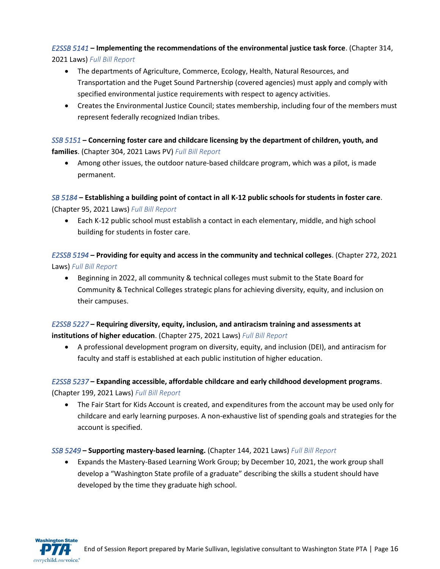### *[E2SSB 5141](https://app.leg.wa.gov/billsummary?BillNumber=5141&Initiative=false&Year=2021)* **– Implementing the recommendations of the environmental justice task force**. (Chapter 314,

2021 Laws) *[Full Bill Report](http://lawfilesext.leg.wa.gov/biennium/2021-22/Pdf/Bill%20Reports/Senate/5141-S2.E%20SBR%20FBR%2021.pdf?q=20210524095509)*

- The departments of Agriculture, Commerce, Ecology, Health, Natural Resources, and Transportation and the Puget Sound Partnership (covered agencies) must apply and comply with specified environmental justice requirements with respect to agency activities.
- Creates the Environmental Justice Council; states membership, including four of the members must represent federally recognized Indian tribes.

#### *[SSB 5151](https://app.leg.wa.gov/billsummary?BillNumber=5151&Initiative=false&Year=2021)* **– Concerning foster care and childcare licensing by the department of children, youth, and families**. (Chapter 304, 2021 Laws PV) *[Full Bill Report](http://lawfilesext.leg.wa.gov/biennium/2021-22/Pdf/Bill%20Reports/Senate/5151-S%20SBR%20FBR%2021.pdf?q=20210524095947)*

• Among other issues, the outdoor nature-based childcare program, which was a pilot, is made permanent.

### *[SB 5184](https://app.leg.wa.gov/billsummary?BillNumber=5184&Year=2021&Initiative=false)* **– Establishing a building point of contact in all K-12 public schools for students in foster care**.

(Chapter 95, 2021 Laws) *[Full Bill Report](http://lawfilesext.leg.wa.gov/biennium/2021-22/Pdf/Bill%20Reports/Senate/5184%20SBR%20FBR%2021.pdf?q=20210524100445)*

• Each K-12 public school must establish a contact in each elementary, middle, and high school building for students in foster care.

*[E2SSB 5194](https://app.leg.wa.gov/billsummary?BillNumber=5194&Initiative=false&Year=2021)* **– Providing for equity and access in the community and technical colleges**. (Chapter 272, 2021 Laws) *[Full Bill Report](http://lawfilesext.leg.wa.gov/biennium/2021-22/Pdf/Bill%20Reports/Senate/5194-S2.E%20SBR%20FBR%2021.pdf?q=20210524100632)*

• Beginning in 2022, all community & technical colleges must submit to the State Board for Community & Technical Colleges strategic plans for achieving diversity, equity, and inclusion on their campuses.

### *[E2SSB 5227](https://app.leg.wa.gov/billsummary?BillNumber=5227&Initiative=false&Year=2021)* **– Requiring diversity, equity, inclusion, and antiracism training and assessments at institutions of higher education**. (Chapter 275, 2021 Laws) *[Full Bill Report](http://lawfilesext.leg.wa.gov/biennium/2021-22/Pdf/Bill%20Reports/Senate/5227-S2.E%20SBR%20FBR%2021.pdf?q=20210524155416)*

• A professional development program on diversity, equity, and inclusion (DEI), and antiracism for faculty and staff is established at each public institution of higher education.

### *[E2SSB 5237](https://app.leg.wa.gov/billsummary?BillNumber=5237&Initiative=false&Year=2021)* **– Expanding accessible, affordable childcare and early childhood development programs**. (Chapter 199, 2021 Laws) *[Full Bill Report](http://lawfilesext.leg.wa.gov/biennium/2021-22/Pdf/Bill%20Reports/Senate/5237-S2.E%20SBR%20FBR%2021.pdf?q=20210524155651)*

• The Fair Start for Kids Account is created, and expenditures from the account may be used only for childcare and early learning purposes. A non-exhaustive list of spending goals and strategies for the account is specified.

### *[SSB 5249](https://app.leg.wa.gov/billsummary?BillNumber=5249&Initiative=false&Year=2021)* **– Supporting mastery-based learning.** (Chapter 144, 2021 Laws) *[Full Bill Report](http://lawfilesext.leg.wa.gov/biennium/2021-22/Pdf/Bill%20Reports/Senate/5249-S%20SBR%20FBR%2021.pdf?q=20210524160635)*

• Expands the Mastery-Based Learning Work Group; by December 10, 2021, the work group shall develop a "Washington State profile of a graduate" describing the skills a student should have developed by the time they graduate high school.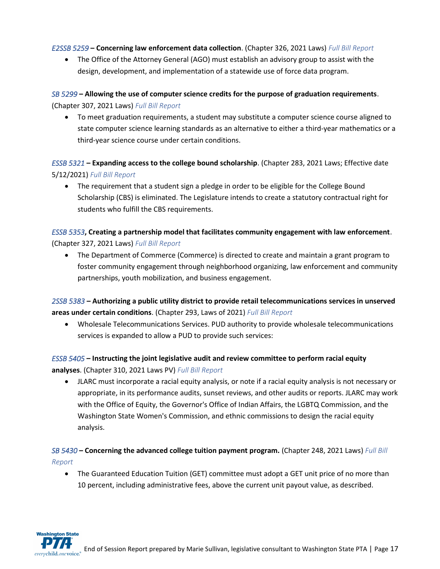#### *[E2SSB 5259](https://app.leg.wa.gov/billsummary?BillNumber=5259&Initiative=false&Year=2021)* **– Concerning law enforcement data collection**. (Chapter 326, 2021 Laws) *[Full Bill Report](http://lawfilesext.leg.wa.gov/biennium/2021-22/Pdf/Bill%20Reports/Senate/5259-S2.E%20SBR%20FBR%2021.pdf?q=20210524160846)*

• The Office of the Attorney General (AGO) must establish an advisory group to assist with the design, development, and implementation of a statewide use of force data program.

### *[SB 5299](https://app.leg.wa.gov/billsummary?BillNumber=5299&Initiative=false&Year=2021)* **– Allowing the use of computer science credits for the purpose of graduation requirements**. (Chapter 307, 2021 Laws) *[Full Bill Report](http://lawfilesext.leg.wa.gov/biennium/2021-22/Pdf/Bill%20Reports/Senate/5299%20SBR%20FBR%2021.pdf?q=20210524161200)*

• To meet graduation requirements, a student may substitute a computer science course aligned to state computer science learning standards as an alternative to either a third-year mathematics or a third-year science course under certain conditions.

*[ESSB 5321](https://app.leg.wa.gov/billsummary?BillNumber=5321&Initiative=false&Year=2021)* **– Expanding access to the college bound scholarship**. (Chapter 283, 2021 Laws; Effective date 5/12/2021) *[Full Bill Report](http://lawfilesext.leg.wa.gov/biennium/2021-22/Pdf/Bill%20Reports/Senate/5321-S.E%20SBR%20FBR%2021.pdf?q=20210524161428)*

• The requirement that a student sign a pledge in order to be eligible for the College Bound Scholarship (CBS) is eliminated. The Legislature intends to create a statutory contractual right for students who fulfill the CBS requirements.

### *[ESSB 5353](https://app.leg.wa.gov/billsummary?BillNumber=5353&Initiative=false&Year=2021)***, Creating a partnership model that facilitates community engagement with law enforcement**. (Chapter 327, 2021 Laws) *[Full Bill Report](http://lawfilesext.leg.wa.gov/biennium/2021-22/Pdf/Bill%20Reports/Senate/5353-S.E%20SBR%20FBR%2021.pdf?q=20210524161928)*

• The Department of Commerce (Commerce) is directed to create and maintain a grant program to foster community engagement through neighborhood organizing, law enforcement and community partnerships, youth mobilization, and business engagement.

*[2SSB 5383](https://app.leg.wa.gov/billsummary?BillNumber=5383&Initiative=false&Year=2021)* **– Authorizing a public utility district to provide retail telecommunications services in unserved areas under certain conditions**. (Chapter 293, Laws of 2021) *[Full Bill Report](http://lawfilesext.leg.wa.gov/biennium/2021-22/Pdf/Bill%20Reports/Senate/5383-S2%20SBR%20FBR%2021.pdf?q=20210524162308)*

• Wholesale Telecommunications Services. PUD authority to provide wholesale telecommunications services is expanded to allow a PUD to provide such services:

### *[ESSB 5405](https://app.leg.wa.gov/billsummary?BillNumber=5405&Initiative=false&Year=2021)* **– Instructing the joint legislative audit and review committee to perform racial equity analyses**. (Chapter 310, 2021 Laws PV) *[Full Bill Report](http://lawfilesext.leg.wa.gov/biennium/2021-22/Pdf/Bill%20Reports/Senate/5405-S.E%20SBR%20FBR%2021.pdf?q=20210524162723)*

• JLARC must incorporate a racial equity analysis, or note if a racial equity analysis is not necessary or appropriate, in its performance audits, sunset reviews, and other audits or reports. JLARC may work with the Office of Equity, the Governor's Office of Indian Affairs, the LGBTQ Commission, and the Washington State Women's Commission, and ethnic commissions to design the racial equity analysis.

### *[SB 5430](https://app.leg.wa.gov/billsummary?BillNumber=5430&Initiative=false&Year=2021)* **– Concerning the advanced college tuition payment program.** (Chapter 248, 2021 Laws) *[Full Bill](http://lawfilesext.leg.wa.gov/biennium/2021-22/Pdf/Bill%20Reports/Senate/5430%20SBR%20FBR%2021.pdf?q=20210524162936)  [Report](http://lawfilesext.leg.wa.gov/biennium/2021-22/Pdf/Bill%20Reports/Senate/5430%20SBR%20FBR%2021.pdf?q=20210524162936)*

• The Guaranteed Education Tuition (GET) committee must adopt a GET unit price of no more than 10 percent, including administrative fees, above the current unit payout value, as described.

**Washington State**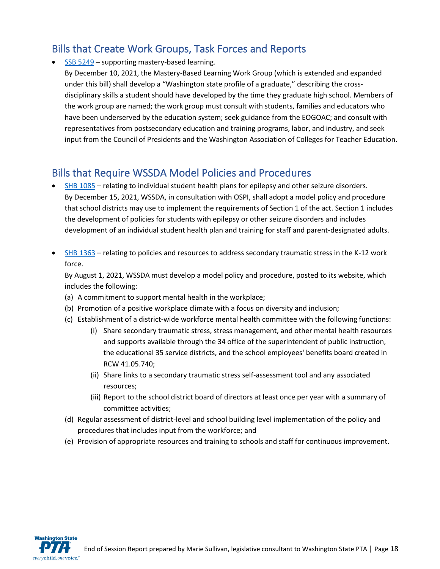# Bills that Create Work Groups, Task Forces and Reports

• [SSB 5249](https://app.leg.wa.gov/billsummary?BillNumber=5249&Initiative=false&Year=2021) – supporting mastery-based learning.

By December 10, 2021, the Mastery-Based Learning Work Group (which is extended and expanded under this bill) shall develop a "Washington state profile of a graduate," describing the crossdisciplinary skills a student should have developed by the time they graduate high school. Members of the work group are named; the work group must consult with students, families and educators who have been underserved by the education system; seek guidance from the EOGOAC; and consult with representatives from postsecondary education and training programs, labor, and industry, and seek input from the Council of Presidents and the Washington Association of Colleges for Teacher Education.

# Bills that Require WSSDA Model Policies and Procedures

- [SHB 1085](https://app.leg.wa.gov/billsummary?BillNumber=1085&Initiative=false&Year=2021) relating to individual student health plans for epilepsy and other seizure disorders. By December 15, 2021, WSSDA, in consultation with OSPI, shall adopt a model policy and procedure that school districts may use to implement the requirements of Section 1 of the act. Section 1 includes the development of policies for students with epilepsy or other seizure disorders and includes development of an individual student health plan and training for staff and parent-designated adults.
- [SHB 1363](https://app.leg.wa.gov/billsummary?BillNumber=1363&Year=2021&Initiative=false) relating to policies and resources to address secondary traumatic stress in the K-12 work force.

By August 1, 2021, WSSDA must develop a model policy and procedure, posted to its website, which includes the following:

- (a) A commitment to support mental health in the workplace;
- (b) Promotion of a positive workplace climate with a focus on diversity and inclusion;
- (c) Establishment of a district-wide workforce mental health committee with the following functions:
	- (i) Share secondary traumatic stress, stress management, and other mental health resources and supports available through the 34 office of the superintendent of public instruction, the educational 35 service districts, and the school employees' benefits board created in RCW 41.05.740;
	- (ii) Share links to a secondary traumatic stress self-assessment tool and any associated resources;
	- (iii) Report to the school district board of directors at least once per year with a summary of committee activities;
- (d) Regular assessment of district-level and school building level implementation of the policy and procedures that includes input from the workforce; and
- (e) Provision of appropriate resources and training to schools and staff for continuous improvement.

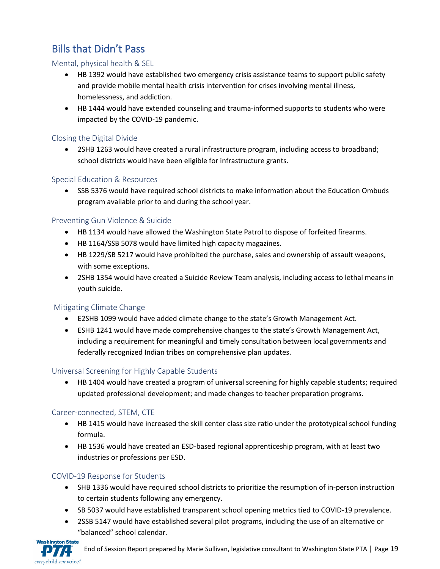# Bills that Didn't Pass

#### Mental, physical health & SEL

- HB 1392 would have established two emergency crisis assistance teams to support public safety and provide mobile mental health crisis intervention for crises involving mental illness, homelessness, and addiction.
- HB 1444 would have extended counseling and trauma-informed supports to students who were impacted by the COVID-19 pandemic.

#### Closing the Digital Divide

• 2SHB 1263 would have created a rural infrastructure program, including access to broadband; school districts would have been eligible for infrastructure grants.

#### Special Education & Resources

• SSB 5376 would have required school districts to make information about the Education Ombuds program available prior to and during the school year.

#### Preventing Gun Violence & Suicide

- HB 1134 would have allowed the Washington State Patrol to dispose of forfeited firearms.
- HB 1164/SSB 5078 would have limited high capacity magazines.
- HB 1229/SB 5217 would have prohibited the purchase, sales and ownership of assault weapons, with some exceptions.
- 2SHB 1354 would have created a Suicide Review Team analysis, including access to lethal means in youth suicide.

#### Mitigating Climate Change

- E2SHB 1099 would have added climate change to the state's Growth Management Act.
- ESHB 1241 would have made comprehensive changes to the state's Growth Management Act, including a requirement for meaningful and timely consultation between local governments and federally recognized Indian tribes on comprehensive plan updates.

### Universal Screening for Highly Capable Students

• HB 1404 would have created a program of universal screening for highly capable students; required updated professional development; and made changes to teacher preparation programs.

### Career-connected, STEM, CTE

- HB 1415 would have increased the skill center class size ratio under the prototypical school funding formula.
- HB 1536 would have created an ESD-based regional apprenticeship program, with at least two industries or professions per ESD.

### COVID-19 Response for Students

- SHB 1336 would have required school districts to prioritize the resumption of in-person instruction to certain students following any emergency.
- SB 5037 would have established transparent school opening metrics tied to COVID-19 prevalence.
- 2SSB 5147 would have established several pilot programs, including the use of an alternative or "balanced" school calendar.

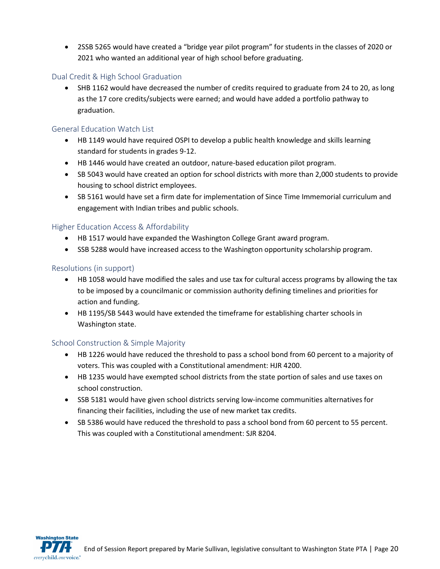• 2SSB 5265 would have created a "bridge year pilot program" for students in the classes of 2020 or 2021 who wanted an additional year of high school before graduating.

#### Dual Credit & High School Graduation

• SHB 1162 would have decreased the number of credits required to graduate from 24 to 20, as long as the 17 core credits/subjects were earned; and would have added a portfolio pathway to graduation.

#### General Education Watch List

- HB 1149 would have required OSPI to develop a public health knowledge and skills learning standard for students in grades 9-12.
- HB 1446 would have created an outdoor, nature-based education pilot program.
- SB 5043 would have created an option for school districts with more than 2,000 students to provide housing to school district employees.
- SB 5161 would have set a firm date for implementation of Since Time Immemorial curriculum and engagement with Indian tribes and public schools.

#### Higher Education Access & Affordability

- HB 1517 would have expanded the Washington College Grant award program.
- SSB 5288 would have increased access to the Washington opportunity scholarship program.

#### Resolutions (in support)

- HB 1058 would have modified the sales and use tax for cultural access programs by allowing the tax to be imposed by a councilmanic or commission authority defining timelines and priorities for action and funding.
- HB 1195/SB 5443 would have extended the timeframe for establishing charter schools in Washington state.

#### School Construction & Simple Majority

- HB 1226 would have reduced the threshold to pass a school bond from 60 percent to a majority of voters. This was coupled with a Constitutional amendment: HJR 4200.
- HB 1235 would have exempted school districts from the state portion of sales and use taxes on school construction.
- SSB 5181 would have given school districts serving low-income communities alternatives for financing their facilities, including the use of new market tax credits.
- SB 5386 would have reduced the threshold to pass a school bond from 60 percent to 55 percent. This was coupled with a Constitutional amendment: SJR 8204.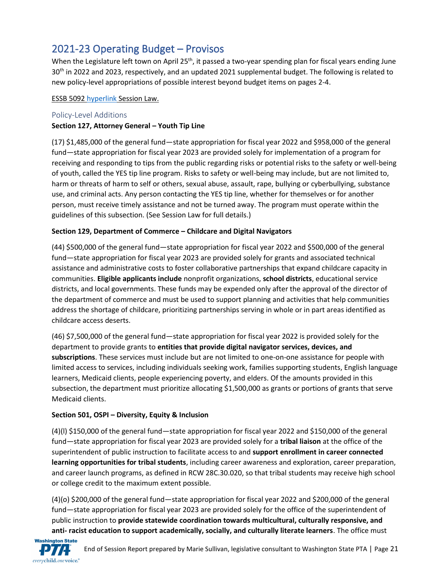# 2021-23 Operating Budget – Provisos

When the Legislature left town on April 25<sup>th</sup>, it passed a two-year spending plan for fiscal years ending June 30<sup>th</sup> in 2022 and 2023, respectively, and an updated 2021 supplemental budget. The following is related to new policy-level appropriations of possible interest beyond budget items on pages 2-4.

#### ESSB 509[2 hyperlink](http://lawfilesext.leg.wa.gov/biennium/2021-22/Pdf/Bills/Session%20Laws/Senate/5092-S.SL.pdf?q=20210603143019) Session Law.

#### Policy-Level Additions

#### **Section 127, Attorney General – Youth Tip Line**

(17) \$1,485,000 of the general fund—state appropriation for fiscal year 2022 and \$958,000 of the general fund—state appropriation for fiscal year 2023 are provided solely for implementation of a program for receiving and responding to tips from the public regarding risks or potential risks to the safety or well-being of youth, called the YES tip line program. Risks to safety or well-being may include, but are not limited to, harm or threats of harm to self or others, sexual abuse, assault, rape, bullying or cyberbullying, substance use, and criminal acts. Any person contacting the YES tip line, whether for themselves or for another person, must receive timely assistance and not be turned away. The program must operate within the guidelines of this subsection. (See Session Law for full details.)

#### **Section 129, Department of Commerce – Childcare and Digital Navigators**

(44) \$500,000 of the general fund—state appropriation for fiscal year 2022 and \$500,000 of the general fund—state appropriation for fiscal year 2023 are provided solely for grants and associated technical assistance and administrative costs to foster collaborative partnerships that expand childcare capacity in communities. **Eligible applicants include** nonprofit organizations, **school districts**, educational service districts, and local governments. These funds may be expended only after the approval of the director of the department of commerce and must be used to support planning and activities that help communities address the shortage of childcare, prioritizing partnerships serving in whole or in part areas identified as childcare access deserts.

(46) \$7,500,000 of the general fund—state appropriation for fiscal year 2022 is provided solely for the department to provide grants to **entities that provide digital navigator services, devices, and subscriptions**. These services must include but are not limited to one-on-one assistance for people with limited access to services, including individuals seeking work, families supporting students, English language learners, Medicaid clients, people experiencing poverty, and elders. Of the amounts provided in this subsection, the department must prioritize allocating \$1,500,000 as grants or portions of grants that serve Medicaid clients.

#### **Section 501, OSPI – Diversity, Equity & Inclusion**

(4)(l) \$150,000 of the general fund—state appropriation for fiscal year 2022 and \$150,000 of the general fund—state appropriation for fiscal year 2023 are provided solely for a **tribal liaison** at the office of the superintendent of public instruction to facilitate access to and **support enrollment in career connected learning opportunities for tribal students**, including career awareness and exploration, career preparation, and career launch programs, as defined in RCW 28C.30.020, so that tribal students may receive high school or college credit to the maximum extent possible.

(4)(o) \$200,000 of the general fund—state appropriation for fiscal year 2022 and \$200,000 of the general fund—state appropriation for fiscal year 2023 are provided solely for the office of the superintendent of public instruction to **provide statewide coordination towards multicultural, culturally responsive, and anti- racist education to support academically, socially, and culturally literate learners**. The office must

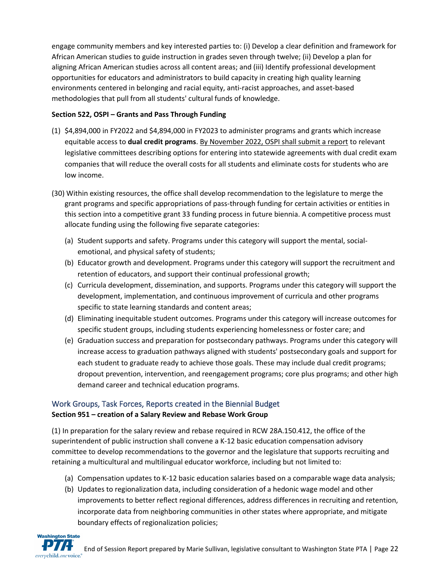engage community members and key interested parties to: (i) Develop a clear definition and framework for African American studies to guide instruction in grades seven through twelve; (ii) Develop a plan for aligning African American studies across all content areas; and (iii) Identify professional development opportunities for educators and administrators to build capacity in creating high quality learning environments centered in belonging and racial equity, anti-racist approaches, and asset-based methodologies that pull from all students' cultural funds of knowledge.

#### **Section 522, OSPI – Grants and Pass Through Funding**

- (1) \$4,894,000 in FY2022 and \$4,894,000 in FY2023 to administer programs and grants which increase equitable access to **dual credit programs**. By November 2022, OSPI shall submit a report to relevant legislative committees describing options for entering into statewide agreements with dual credit exam companies that will reduce the overall costs for all students and eliminate costs for students who are low income.
- (30) Within existing resources, the office shall develop recommendation to the legislature to merge the grant programs and specific appropriations of pass-through funding for certain activities or entities in this section into a competitive grant 33 funding process in future biennia. A competitive process must allocate funding using the following five separate categories:
	- (a) Student supports and safety. Programs under this category will support the mental, socialemotional, and physical safety of students;
	- (b) Educator growth and development. Programs under this category will support the recruitment and retention of educators, and support their continual professional growth;
	- (c) Curricula development, dissemination, and supports. Programs under this category will support the development, implementation, and continuous improvement of curricula and other programs specific to state learning standards and content areas;
	- (d) Eliminating inequitable student outcomes. Programs under this category will increase outcomes for specific student groups, including students experiencing homelessness or foster care; and
	- (e) Graduation success and preparation for postsecondary pathways. Programs under this category will increase access to graduation pathways aligned with students' postsecondary goals and support for each student to graduate ready to achieve those goals. These may include dual credit programs; dropout prevention, intervention, and reengagement programs; core plus programs; and other high demand career and technical education programs.

### Work Groups, Task Forces, Reports created in the Biennial Budget **Section 951 – creation of a Salary Review and Rebase Work Group**

(1) In preparation for the salary review and rebase required in RCW 28A.150.412, the office of the superintendent of public instruction shall convene a K-12 basic education compensation advisory committee to develop recommendations to the governor and the legislature that supports recruiting and retaining a multicultural and multilingual educator workforce, including but not limited to:

- (a) Compensation updates to K-12 basic education salaries based on a comparable wage data analysis;
- (b) Updates to regionalization data, including consideration of a hedonic wage model and other improvements to better reflect regional differences, address differences in recruiting and retention, incorporate data from neighboring communities in other states where appropriate, and mitigate boundary effects of regionalization policies;

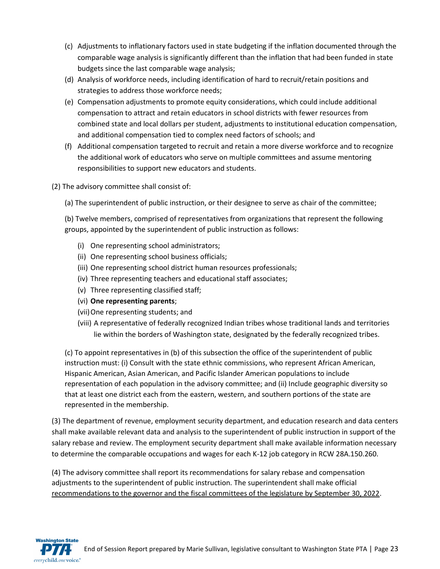- (c) Adjustments to inflationary factors used in state budgeting if the inflation documented through the comparable wage analysis is significantly different than the inflation that had been funded in state budgets since the last comparable wage analysis;
- (d) Analysis of workforce needs, including identification of hard to recruit/retain positions and strategies to address those workforce needs;
- (e) Compensation adjustments to promote equity considerations, which could include additional compensation to attract and retain educators in school districts with fewer resources from combined state and local dollars per student, adjustments to institutional education compensation, and additional compensation tied to complex need factors of schools; and
- (f) Additional compensation targeted to recruit and retain a more diverse workforce and to recognize the additional work of educators who serve on multiple committees and assume mentoring responsibilities to support new educators and students.
- (2) The advisory committee shall consist of:
	- (a) The superintendent of public instruction, or their designee to serve as chair of the committee;

(b) Twelve members, comprised of representatives from organizations that represent the following groups, appointed by the superintendent of public instruction as follows:

- (i) One representing school administrators;
- (ii) One representing school business officials;
- (iii) One representing school district human resources professionals;
- (iv) Three representing teachers and educational staff associates;
- (v) Three representing classified staff;
- (vi) **One representing parents**;
- (vii)One representing students; and
- (viii) A representative of federally recognized Indian tribes whose traditional lands and territories lie within the borders of Washington state, designated by the federally recognized tribes.

(c) To appoint representatives in (b) of this subsection the office of the superintendent of public instruction must: (i) Consult with the state ethnic commissions, who represent African American, Hispanic American, Asian American, and Pacific Islander American populations to include representation of each population in the advisory committee; and (ii) Include geographic diversity so that at least one district each from the eastern, western, and southern portions of the state are represented in the membership.

(3) The department of revenue, employment security department, and education research and data centers shall make available relevant data and analysis to the superintendent of public instruction in support of the salary rebase and review. The employment security department shall make available information necessary to determine the comparable occupations and wages for each K-12 job category in RCW 28A.150.260.

(4) The advisory committee shall report its recommendations for salary rebase and compensation adjustments to the superintendent of public instruction. The superintendent shall make official recommendations to the governor and the fiscal committees of the legislature by September 30, 2022.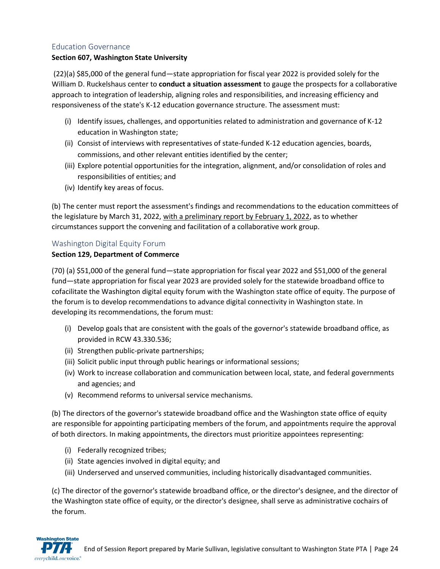#### Education Governance

#### **Section 607, Washington State University**

(22)(a) \$85,000 of the general fund—state appropriation for fiscal year 2022 is provided solely for the William D. Ruckelshaus center to **conduct a situation assessment** to gauge the prospects for a collaborative approach to integration of leadership, aligning roles and responsibilities, and increasing efficiency and responsiveness of the state's K-12 education governance structure. The assessment must:

- (i) Identify issues, challenges, and opportunities related to administration and governance of K-12 education in Washington state;
- (ii) Consist of interviews with representatives of state-funded K-12 education agencies, boards, commissions, and other relevant entities identified by the center;
- (iii) Explore potential opportunities for the integration, alignment, and/or consolidation of roles and responsibilities of entities; and
- (iv) Identify key areas of focus.

(b) The center must report the assessment's findings and recommendations to the education committees of the legislature by March 31, 2022, with a preliminary report by February 1, 2022, as to whether circumstances support the convening and facilitation of a collaborative work group.

#### Washington Digital Equity Forum

#### **Section 129, Department of Commerce**

(70) (a) \$51,000 of the general fund—state appropriation for fiscal year 2022 and \$51,000 of the general fund—state appropriation for fiscal year 2023 are provided solely for the statewide broadband office to cofacilitate the Washington digital equity forum with the Washington state office of equity. The purpose of the forum is to develop recommendations to advance digital connectivity in Washington state. In developing its recommendations, the forum must:

- (i) Develop goals that are consistent with the goals of the governor's statewide broadband office, as provided in RCW 43.330.536;
- (ii) Strengthen public-private partnerships;
- (iii) Solicit public input through public hearings or informational sessions;
- (iv) Work to increase collaboration and communication between local, state, and federal governments and agencies; and
- (v) Recommend reforms to universal service mechanisms.

(b) The directors of the governor's statewide broadband office and the Washington state office of equity are responsible for appointing participating members of the forum, and appointments require the approval of both directors. In making appointments, the directors must prioritize appointees representing:

- (i) Federally recognized tribes;
- (ii) State agencies involved in digital equity; and
- (iii) Underserved and unserved communities, including historically disadvantaged communities.

(c) The director of the governor's statewide broadband office, or the director's designee, and the director of the Washington state office of equity, or the director's designee, shall serve as administrative cochairs of the forum.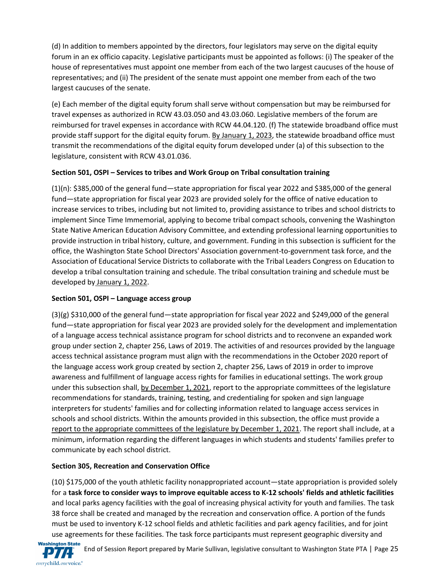(d) In addition to members appointed by the directors, four legislators may serve on the digital equity forum in an ex officio capacity. Legislative participants must be appointed as follows: (i) The speaker of the house of representatives must appoint one member from each of the two largest caucuses of the house of representatives; and (ii) The president of the senate must appoint one member from each of the two largest caucuses of the senate.

(e) Each member of the digital equity forum shall serve without compensation but may be reimbursed for travel expenses as authorized in RCW 43.03.050 and 43.03.060. Legislative members of the forum are reimbursed for travel expenses in accordance with RCW 44.04.120. (f) The statewide broadband office must provide staff support for the digital equity forum. By January 1, 2023, the statewide broadband office must transmit the recommendations of the digital equity forum developed under (a) of this subsection to the legislature, consistent with RCW 43.01.036.

#### **Section 501, OSPI – Services to tribes and Work Group on Tribal consultation training**

(1)(n): \$385,000 of the general fund—state appropriation for fiscal year 2022 and \$385,000 of the general fund—state appropriation for fiscal year 2023 are provided solely for the office of native education to increase services to tribes, including but not limited to, providing assistance to tribes and school districts to implement Since Time Immemorial, applying to become tribal compact schools, convening the Washington State Native American Education Advisory Committee, and extending professional learning opportunities to provide instruction in tribal history, culture, and government. Funding in this subsection is sufficient for the office, the Washington State School Directors' Association government-to-government task force, and the Association of Educational Service Districts to collaborate with the Tribal Leaders Congress on Education to develop a tribal consultation training and schedule. The tribal consultation training and schedule must be developed by January 1, 2022.

#### **Section 501, OSPI – Language access group**

(3)(g) \$310,000 of the general fund—state appropriation for fiscal year 2022 and \$249,000 of the general fund—state appropriation for fiscal year 2023 are provided solely for the development and implementation of a language access technical assistance program for school districts and to reconvene an expanded work group under section 2, chapter 256, Laws of 2019. The activities of and resources provided by the language access technical assistance program must align with the recommendations in the October 2020 report of the language access work group created by section 2, chapter 256, Laws of 2019 in order to improve awareness and fulfillment of language access rights for families in educational settings. The work group under this subsection shall, by December 1, 2021, report to the appropriate committees of the legislature recommendations for standards, training, testing, and credentialing for spoken and sign language interpreters for students' families and for collecting information related to language access services in schools and school districts. Within the amounts provided in this subsection, the office must provide a report to the appropriate committees of the legislature by December 1, 2021. The report shall include, at a minimum, information regarding the different languages in which students and students' families prefer to communicate by each school district.

### **Section 305, Recreation and Conservation Office**

(10) \$175,000 of the youth athletic facility nonappropriated account—state appropriation is provided solely for a **task force to consider ways to improve equitable access to K-12 schools' fields and athletic facilities** and local parks agency facilities with the goal of increasing physical activity for youth and families. The task 38 force shall be created and managed by the recreation and conservation office. A portion of the funds must be used to inventory K-12 school fields and athletic facilities and park agency facilities, and for joint use agreements for these facilities. The task force participants must represent geographic diversity and

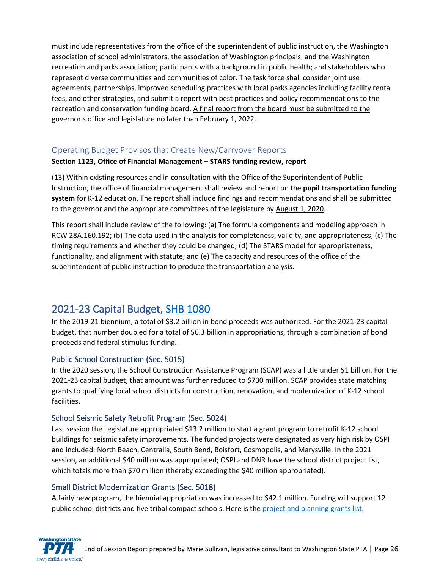must include representatives from the office of the superintendent of public instruction, the Washington association of school administrators, the association of Washington principals, and the Washington recreation and parks association; participants with a background in public health; and stakeholders who represent diverse communities and communities of color. The task force shall consider joint use agreements, partnerships, improved scheduling practices with local parks agencies including facility rental fees, and other strategies, and submit a report with best practices and policy recommendations to the recreation and conservation funding board. A final report from the board must be submitted to the governor's office and legislature no later than February 1, 2022.

### Operating Budget Provisos that Create New/Carryover Reports

#### **Section 1123, Office of Financial Management – STARS funding review, report**

(13) Within existing resources and in consultation with the Office of the Superintendent of Public Instruction, the office of financial management shall review and report on the **pupil transportation funding system** for K-12 education. The report shall include findings and recommendations and shall be submitted to the governor and the appropriate committees of the legislature by August 1, 2020.

This report shall include review of the following: (a) The formula components and modeling approach in RCW 28A.160.192; (b) The data used in the analysis for completeness, validity, and appropriateness; (c) The timing requirements and whether they could be changed; (d) The STARS model for appropriateness, functionality, and alignment with statute; and (e) The capacity and resources of the office of the superintendent of public instruction to produce the transportation analysis.

## 2021-23 Capital Budget, [SHB 1080](http://lawfilesext.leg.wa.gov/biennium/2021-22/Pdf/Bills/Session%20Laws/House/1080-S.SL.pdf)

In the 2019-21 biennium, a total of \$3.2 billion in bond proceeds was authorized. For the 2021-23 capital budget, that number doubled for a total of \$6.3 billion in appropriations, through a combination of bond proceeds and federal stimulus funding.

#### Public School Construction (Sec. 5015)

In the 2020 session, the School Construction Assistance Program (SCAP) was a little under \$1 billion. For the 2021-23 capital budget, that amount was further reduced to \$730 million. SCAP provides state matching grants to qualifying local school districts for construction, renovation, and modernization of K-12 school facilities.

#### School Seismic Safety Retrofit Program (Sec. 5024)

Last session the Legislature appropriated \$13.2 million to start a grant program to retrofit K-12 school buildings for seismic safety improvements. The funded projects were designated as very high risk by OSPI and included: North Beach, Centralia, South Bend, Boisfort, Cosmopolis, and Marysville. In the 2021 session, an additional \$40 million was appropriated; OSPI and DNR have the school district project list, which totals more than \$70 million (thereby exceeding the \$40 million appropriated).

#### Small District Modernization Grants (Sec. 5018)

A fairly new program, the biennial appropriation was increased to \$42.1 million. Funding will support 12 public school districts and five tribal compact schools. Here is the [project and planning grants](http://leap.leg.wa.gov/leap/Budget/Detail/2021/ccSmallDistrictAndTribalCompactList.pdf) list.